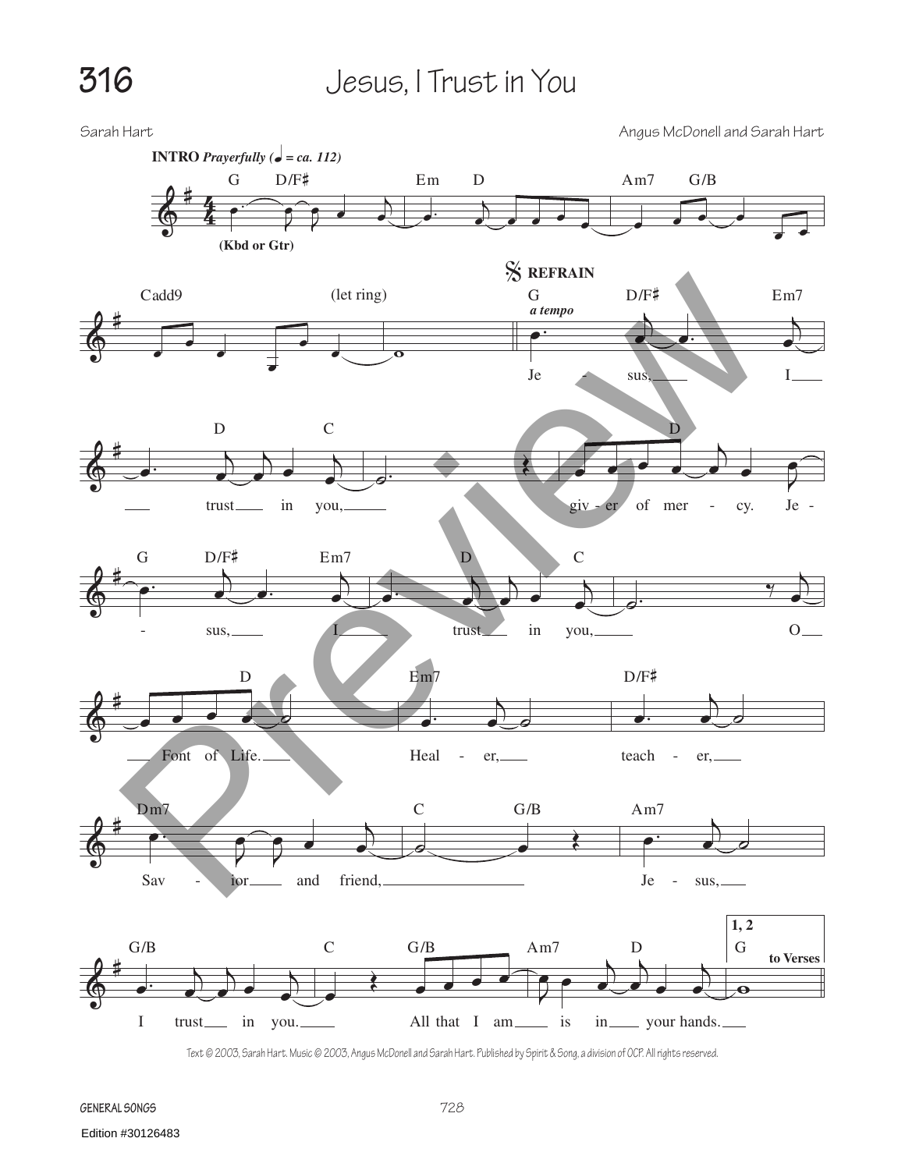## **316** Jesus, I Trust in You

Sarah Hart Angus McDonell and Sarah Hart  $\frac{\rho}{\Phi}$  $rac{4}{4}$ 4 **(Kbd or Gtr)**  $\begin{picture}(180,170)(-10,170)(-10,170)(-10,170)(-10,170)(-10,170)(-10,170)(-10,170)(-10,170)(-10,170)(-10,170)(-10,170)(-10,170)(-10,170)(-10,170)(-10,170)(-10,170)(-10,170)(-10,170)(-10,170)(-10,170)(-10,170)(-10,170)(-10,170)(-10,170)(-10,170)(-10,170$  $\widehat{\mathcal{P}}$  $\bullet$ œ  $G$  D/F# **INTRO** *Prayerfully* ( $\bullet = ca.$  112)  $\cdot$  )  $\partial_{\omega}$  . . . Em D  $\overrightarrow{e}$ Am7 G/B  $\&$ (let ring)  $\frac{1}{\sqrt{2}}$  $\overline{\phantom{a}}$ Cadd<sup>9</sup>  $\overline{\mathbf{o}}$ **REFRAIN** % **a** tempo <sup>œ</sup> <sup>œ</sup>. <sup>j</sup> œ G  $D/F^*$  Em7 Je sus, I  $\&$  $\cdot$   $\cdot$  $\sum$  $\overrightarrow{e}$ œ D C trust<sub>im</sub> in you, ˙. <sup>Œ</sup> <sup>œ</sup> <sup>œ</sup> <sup>œ</sup> <sup>œ</sup> <sup>j</sup>  $\overrightarrow{a}$ œ D giv - er of mer - cy. Je -  $\&$ -  $\begin{pmatrix} 1 & 1 \\ 1 & 1 \\ 1 & 1 \end{pmatrix}$  $\begin{pmatrix} 1 & 1 \\ 0 & 0 \end{pmatrix}$ œ G D/F# Em7  $sus,$ <sup>œ</sup>. <sup>j</sup> <sup>œ</sup> <sup>j</sup>  $\begin{array}{c} \begin{array}{c} \end{array} \end{array}$ œ D C trust in you,  $\circ$ . œ  $O_{\underline{\hspace{1cm}}\underline{\hspace{1cm}}}$  $\&$  $\overrightarrow{e}$ D Font of Life.  $\cdot$  jet  $\cdot$  $\frac{1}{\sigma}$ Em7 Heal - er,  $\overrightarrow{a}$ . æ <u>†</u> D/F# teach - er,  $\begin{array}{c} \bullet \\ \bullet \\ \bullet \end{array}$  $\widehat{\mathcal{P}}$  $\bullet$   $\bullet$ œ Dm7 Sav - ior and friend,  $\circ$   $\bullet$   $\circ$ C G/B  $\overrightarrow{e}$  $\Box$ Am7 Je - sus,  $\frac{2}{9}$  $\cdot$  $\sum$  $\overrightarrow{e}$ œ G/B I trust<sub>—</sub> in you. œ  $\epsilon$ C G/B All that I am<sub>sin</sub> is J  $\overrightarrow{P}$  $\sum$  $\frac{1}{\sqrt{1-\frac{1}{\sqrt{1-\frac{1}{\sqrt{1-\frac{1}{\sqrt{1-\frac{1}{\sqrt{1-\frac{1}{\sqrt{1-\frac{1}{\sqrt{1-\frac{1}{\sqrt{1-\frac{1}{\sqrt{1-\frac{1}{\sqrt{1-\frac{1}{\sqrt{1-\frac{1}{\sqrt{1-\frac{1}{\sqrt{1-\frac{1}{\sqrt{1-\frac{1}{\sqrt{1-\frac{1}{\sqrt{1-\frac{1}{\sqrt{1-\frac{1}{\sqrt{1-\frac{1}{\sqrt{1-\frac{1}{\sqrt{1-\frac{1}{\sqrt{1-\frac{1}{\sqrt{1-\frac{1}{\sqrt{1-\frac{1}{\sqrt{1-\frac{1$ œ Am7 D in your hands. **to Verses 1, 2**  $\ddot{\mathbf{e}}$ G Caddy<br>
Caddy<br>
Caddy<br>
Cannon Dr#<br>
Preview Cannon Dr#<br>
Preview Cannon Dr#<br>
Preview Cannon Dr#<br>
Preview Cannon Dr#<br>
Preview Cannon Dr#<br>
Preview Cannon Dr#<br>
Preview Cannon Dr#<br>
Preview Cannon Dr#<br>
Preview Cannon Dr#<br>
Preview

Text © 2003, Sarah Hart. Music © 2003, Angus McDonell and Sarah Hart. Published by Spirit & Song, a division of OCP. All rights reserved.

**General Songs**

Edition #30126483